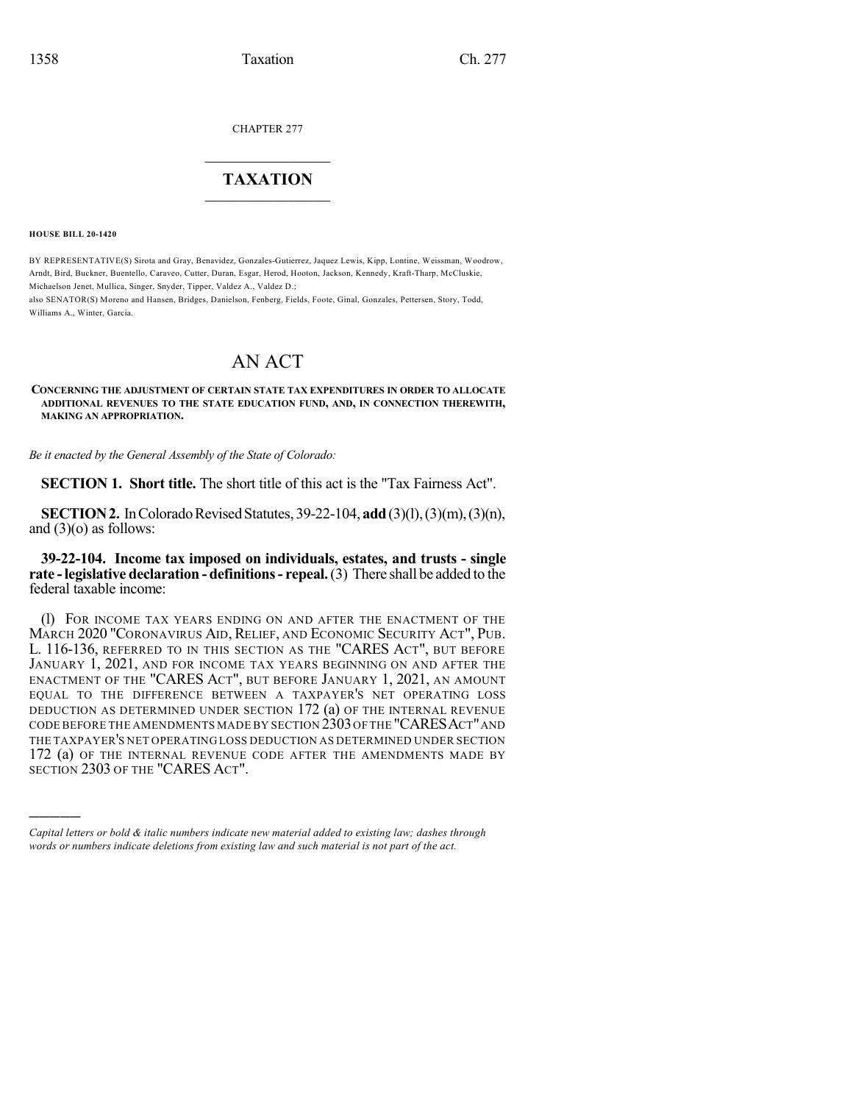CHAPTER 277

## $\mathcal{L}_\text{max}$  . The set of the set of the set of the set of the set of the set of the set of the set of the set of the set of the set of the set of the set of the set of the set of the set of the set of the set of the set **TAXATION**  $\_$

**HOUSE BILL 20-1420**

)))))

BY REPRESENTATIVE(S) Sirota and Gray, Benavidez, Gonzales-Gutierrez, Jaquez Lewis, Kipp, Lontine, Weissman, Woodrow, Arndt, Bird, Buckner, Buentello, Caraveo, Cutter, Duran, Esgar, Herod, Hooton, Jackson, Kennedy, Kraft-Tharp, McCluskie, Michaelson Jenet, Mullica, Singer, Snyder, Tipper, Valdez A., Valdez D.;

also SENATOR(S) Moreno and Hansen, Bridges, Danielson, Fenberg, Fields, Foote, Ginal, Gonzales, Pettersen, Story, Todd, Williams A., Winter, Garcia.

## AN ACT

**CONCERNING THE ADJUSTMENT OF CERTAIN STATE TAX EXPENDITURES IN ORDER TO ALLOCATE ADDITIONAL REVENUES TO THE STATE EDUCATION FUND, AND, IN CONNECTION THEREWITH, MAKING AN APPROPRIATION.**

*Be it enacted by the General Assembly of the State of Colorado:*

**SECTION 1. Short title.** The short title of this act is the "Tax Fairness Act".

**SECTION 2.** In Colorado Revised Statutes, 39-22-104, **add** (3)(1), (3)(m), (3)(n), and  $(3)(o)$  as follows:

## **39-22-104. Income tax imposed on individuals, estates, and trusts - single rate -legislative declaration - definitions- repeal.**(3) There shall be added to the federal taxable income:

(l) FOR INCOME TAX YEARS ENDING ON AND AFTER THE ENACTMENT OF THE MARCH 2020 "CORONAVIRUS AID, RELIEF, AND ECONOMIC SECURITY ACT", PUB. L. 116-136, REFERRED TO IN THIS SECTION AS THE "CARES ACT", BUT BEFORE JANUARY 1, 2021, AND FOR INCOME TAX YEARS BEGINNING ON AND AFTER THE ENACTMENT OF THE "CARES ACT", BUT BEFORE JANUARY 1, 2021, AN AMOUNT EQUAL TO THE DIFFERENCE BETWEEN A TAXPAYER'S NET OPERATING LOSS DEDUCTION AS DETERMINED UNDER SECTION 172 (a) OF THE INTERNAL REVENUE CODE BEFORE THE AMENDMENTS MADE BY SECTION 2303OF THE "CARESACT"AND THE TAXPAYER'S NET OPERATING LOSS DEDUCTION AS DETERMINED UNDER SECTION 172 (a) OF THE INTERNAL REVENUE CODE AFTER THE AMENDMENTS MADE BY SECTION 2303 OF THE "CARES ACT".

*Capital letters or bold & italic numbers indicate new material added to existing law; dashes through words or numbers indicate deletions from existing law and such material is not part of the act.*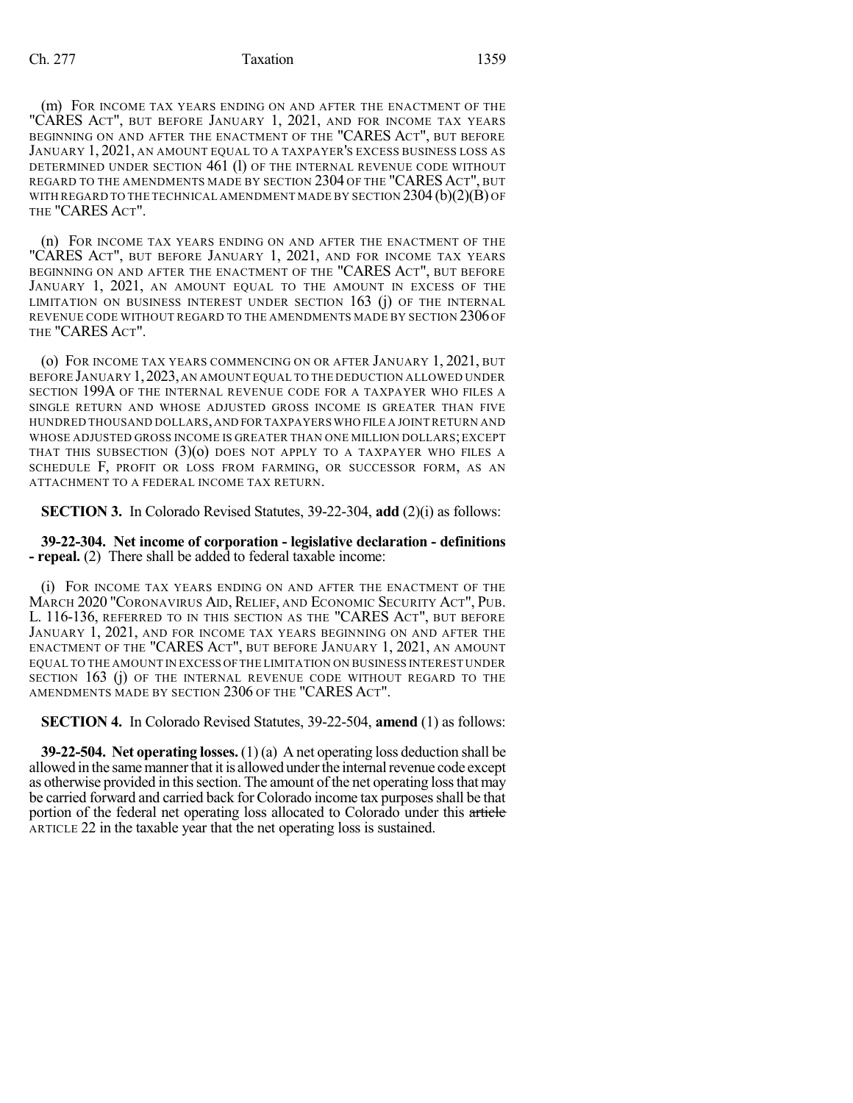(m) FOR INCOME TAX YEARS ENDING ON AND AFTER THE ENACTMENT OF THE "CARES ACT", BUT BEFORE JANUARY 1, 2021, AND FOR INCOME TAX YEARS BEGINNING ON AND AFTER THE ENACTMENT OF THE "CARES ACT", BUT BEFORE JANUARY 1, 2021, AN AMOUNT EQUAL TO A TAXPAYER'S EXCESS BUSINESS LOSS AS DETERMINED UNDER SECTION 461 (1) OF THE INTERNAL REVENUE CODE WITHOUT REGARD TO THE AMENDMENTS MADE BY SECTION 2304 OF THE "CARES ACT", BUT WITH REGARD TO THE TECHNICAL AMENDMENT MADE BY SECTION  $2304(b)(2)(B)$  OF THE "CARES ACT".

(n) FOR INCOME TAX YEARS ENDING ON AND AFTER THE ENACTMENT OF THE "CARES ACT", BUT BEFORE JANUARY 1, 2021, AND FOR INCOME TAX YEARS BEGINNING ON AND AFTER THE ENACTMENT OF THE "CARES ACT", BUT BEFORE JANUARY 1, 2021, AN AMOUNT EQUAL TO THE AMOUNT IN EXCESS OF THE LIMITATION ON BUSINESS INTEREST UNDER SECTION  $163$  (j) of the INTERNAL REVENUE CODE WITHOUT REGARD TO THE AMENDMENTS MADE BY SECTION 2306 OF THE "CARES ACT".

(o) FOR INCOME TAX YEARS COMMENCING ON OR AFTER JANUARY 1, 2021, BUT BEFORE JANUARY 1,2023,AN AMOUNT EQUAL TO THE DEDUCTION ALLOWED UNDER SECTION 199A OF THE INTERNAL REVENUE CODE FOR A TAXPAYER WHO FILES A SINGLE RETURN AND WHOSE ADJUSTED GROSS INCOME IS GREATER THAN FIVE HUNDRED THOUSAND DOLLARS,AND FOR TAXPAYERS WHO FILE A JOINT RETURN AND WHOSE ADJUSTED GROSS INCOME IS GREATER THAN ONE MILLION DOLLARS;EXCEPT THAT THIS SUBSECTION  $(3)(o)$  DOES NOT APPLY TO A TAXPAYER WHO FILES A SCHEDULE F, PROFIT OR LOSS FROM FARMING, OR SUCCESSOR FORM, AS AN ATTACHMENT TO A FEDERAL INCOME TAX RETURN.

**SECTION 3.** In Colorado Revised Statutes, 39-22-304, **add** (2)(i) as follows:

**39-22-304. Net income of corporation - legislative declaration - definitions - repeal.** (2) There shall be added to federal taxable income:

(i) FOR INCOME TAX YEARS ENDING ON AND AFTER THE ENACTMENT OF THE MARCH 2020 "CORONAVIRUS AID, RELIEF, AND ECONOMIC SECURITY ACT", PUB. L. 116-136, REFERRED TO IN THIS SECTION AS THE "CARES ACT", BUT BEFORE JANUARY 1, 2021, AND FOR INCOME TAX YEARS BEGINNING ON AND AFTER THE ENACTMENT OF THE "CARES ACT", BUT BEFORE JANUARY 1, 2021, AN AMOUNT EQUAL TO THE AMOUNT IN EXCESS OFTHE LIMITATION ON BUSINESS INTEREST UNDER SECTION 163 (j) OF THE INTERNAL REVENUE CODE WITHOUT REGARD TO THE AMENDMENTS MADE BY SECTION 2306 OF THE "CARES ACT".

**SECTION 4.** In Colorado Revised Statutes, 39-22-504, **amend** (1) as follows:

**39-22-504. Net operating losses.** (1) (a) A net operating loss deduction shall be allowed in the same manner that it is allowed under the internal revenue code except as otherwise provided in thissection. The amount of the net operating lossthatmay be carried forward and carried back for Colorado income tax purposes shall be that portion of the federal net operating loss allocated to Colorado under this article ARTICLE 22 in the taxable year that the net operating loss is sustained.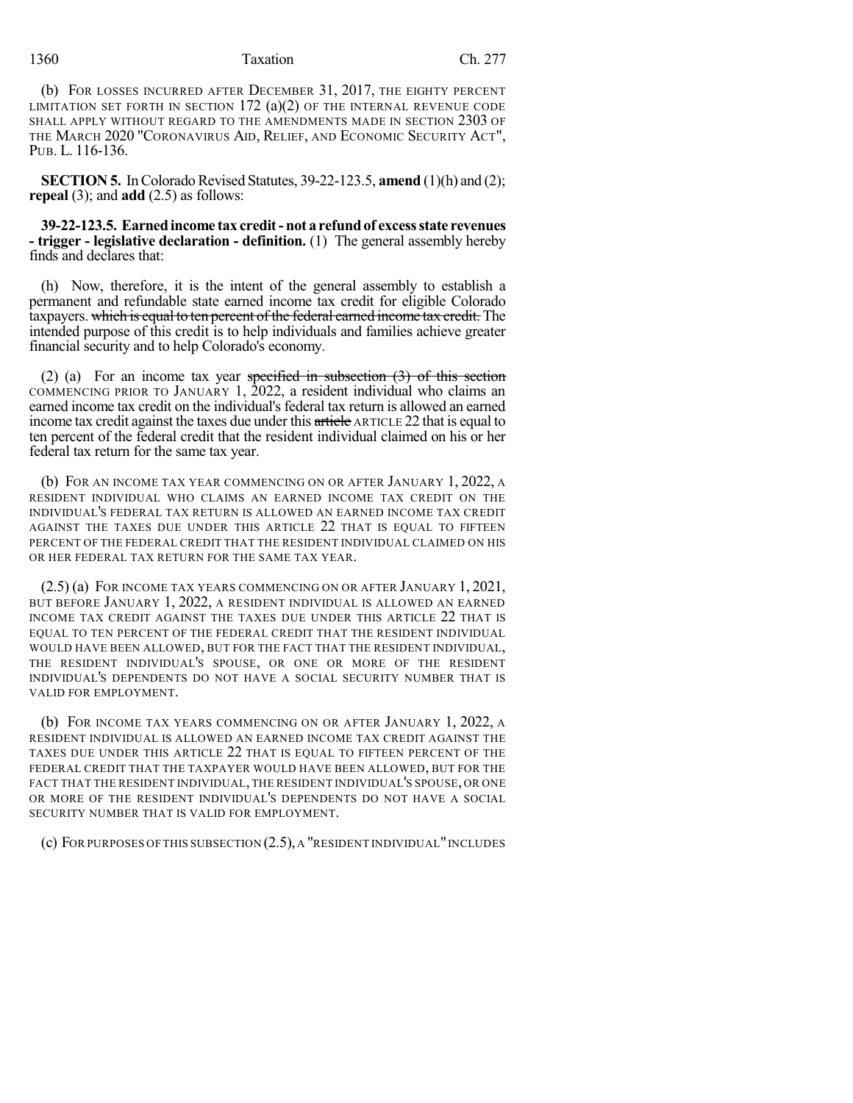## 1360 Taxation Ch. 277

(b) FOR LOSSES INCURRED AFTER DECEMBER 31, 2017, THE EIGHTY PERCENT LIMITATION SET FORTH IN SECTION  $172$  (a)(2) OF THE INTERNAL REVENUE CODE SHALL APPLY WITHOUT REGARD TO THE AMENDMENTS MADE IN SECTION 2303 OF THE MARCH 2020 "CORONAVIRUS AID, RELIEF, AND ECONOMIC SECURITY ACT", PUB. L. 116-136.

**SECTION 5.** In Colorado Revised Statutes, 39-22-123.5, **amend** (1)(h) and (2); **repeal** (3); and **add** (2.5) as follows:

**39-22-123.5. Earnedincome tax credit- not a refundof excessstate revenues - trigger - legislative declaration - definition.** (1) The general assembly hereby finds and declares that:

(h) Now, therefore, it is the intent of the general assembly to establish a permanent and refundable state earned income tax credit for eligible Colorado taxpayers. which is equal to ten percent of the federal earned income tax credit. The intended purpose of this credit is to help individuals and families achieve greater financial security and to help Colorado's economy.

(2) (a) For an income tax year specified in subsection  $(3)$  of this section COMMENCING PRIOR TO JANUARY 1, 2022, a resident individual who claims an earned income tax credit on the individual's federal tax return is allowed an earned income tax credit against the taxes due under this article ARTICLE 22 that is equal to ten percent of the federal credit that the resident individual claimed on his or her federal tax return for the same tax year.

(b) FOR AN INCOME TAX YEAR COMMENCING ON OR AFTER JANUARY 1, 2022, A RESIDENT INDIVIDUAL WHO CLAIMS AN EARNED INCOME TAX CREDIT ON THE INDIVIDUAL'S FEDERAL TAX RETURN IS ALLOWED AN EARNED INCOME TAX CREDIT AGAINST THE TAXES DUE UNDER THIS ARTICLE 22 THAT IS EQUAL TO FIFTEEN PERCENT OF THE FEDERAL CREDIT THAT THE RESIDENT INDIVIDUAL CLAIMED ON HIS OR HER FEDERAL TAX RETURN FOR THE SAME TAX YEAR.

(2.5) (a) FOR INCOME TAX YEARS COMMENCING ON OR AFTER JANUARY 1, 2021, BUT BEFORE JANUARY 1, 2022, A RESIDENT INDIVIDUAL IS ALLOWED AN EARNED INCOME TAX CREDIT AGAINST THE TAXES DUE UNDER THIS ARTICLE 22 THAT IS EQUAL TO TEN PERCENT OF THE FEDERAL CREDIT THAT THE RESIDENT INDIVIDUAL WOULD HAVE BEEN ALLOWED, BUT FOR THE FACT THAT THE RESIDENT INDIVIDUAL, THE RESIDENT INDIVIDUAL'S SPOUSE, OR ONE OR MORE OF THE RESIDENT INDIVIDUAL'S DEPENDENTS DO NOT HAVE A SOCIAL SECURITY NUMBER THAT IS VALID FOR EMPLOYMENT.

(b) FOR INCOME TAX YEARS COMMENCING ON OR AFTER JANUARY 1, 2022, A RESIDENT INDIVIDUAL IS ALLOWED AN EARNED INCOME TAX CREDIT AGAINST THE TAXES DUE UNDER THIS ARTICLE 22 THAT IS EQUAL TO FIFTEEN PERCENT OF THE FEDERAL CREDIT THAT THE TAXPAYER WOULD HAVE BEEN ALLOWED, BUT FOR THE FACT THAT THE RESIDENT INDIVIDUAL, THE RESIDENT INDIVIDUAL'S SPOUSE, OR ONE OR MORE OF THE RESIDENT INDIVIDUAL'S DEPENDENTS DO NOT HAVE A SOCIAL SECURITY NUMBER THAT IS VALID FOR EMPLOYMENT.

(c) FOR PURPOSES OF THIS SUBSECTION (2.5),A "RESIDENT INDIVIDUAL"INCLUDES